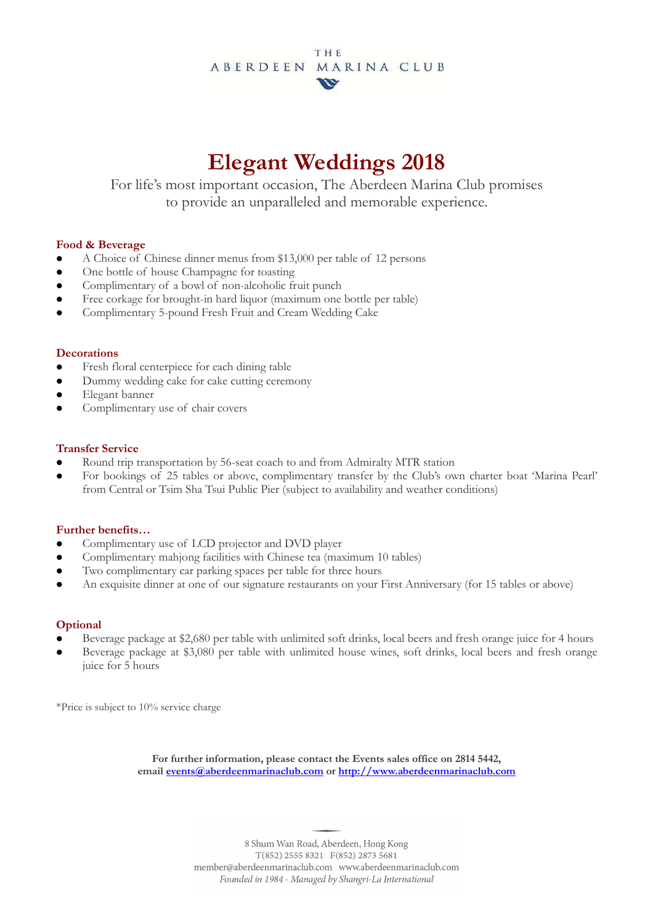## **THE** ABERDEEN MARINA CLUB  $\boldsymbol{\nu}$

# **Elegant Weddings 2018**

For life's most important occasion, The Aberdeen Marina Club promises to provide an unparalleled and memorable experience.

## **Food & Beverage**

- A Choice of Chinese dinner menus from \$13,000 per table of 12 persons
- One bottle of house Champagne for toasting
- Complimentary of a bowl of non-alcoholic fruit punch
- Free corkage for brought-in hard liquor (maximum one bottle per table)
- Complimentary 5-pound Fresh Fruit and Cream Wedding Cake

#### **Decorations**

- Fresh floral centerpiece for each dining table
- Dummy wedding cake for cake cutting ceremony
- Elegant banner
- Complimentary use of chair covers

#### **Transfer Service**

- Round trip transportation by 56-seat coach to and from Admiralty MTR station
- For bookings of 25 tables or above, complimentary transfer by the Club's own charter boat 'Marina Pearl' from Central or Tsim Sha Tsui Public Pier (subject to availability and weather conditions)

#### **Further benefits…**

- Complimentary use of LCD projector and DVD player
- Complimentary mahjong facilities with Chinese tea (maximum 10 tables)
- Two complimentary car parking spaces per table for three hours
- An exquisite dinner at one of our signature restaurants on your First Anniversary (for 15 tables or above)

# **Optional**

- Beverage package at \$2,680 per table with unlimited soft drinks, local beers and fresh orange juice for 4 hours
- Beverage package at \$3,080 per table with unlimited house wines, soft drinks, local beers and fresh orange juice for 5 hours

\*Price is subject to 10% service charge

**For further information, please contact the Events sales office on 2814 5442, email events@aberdeenmarinaclub.com or http://www.aberdeenmarinaclub.com**

> 8 Shum Wan Road, Aberdeen, Hong Kong  $T(852)$  2555 8321  $F(852)$  2873 5681 member@aberdeenmarinaclub.com www.aberdeenmarinaclub.com Founded in 1984 - Managed by Shangri-La International